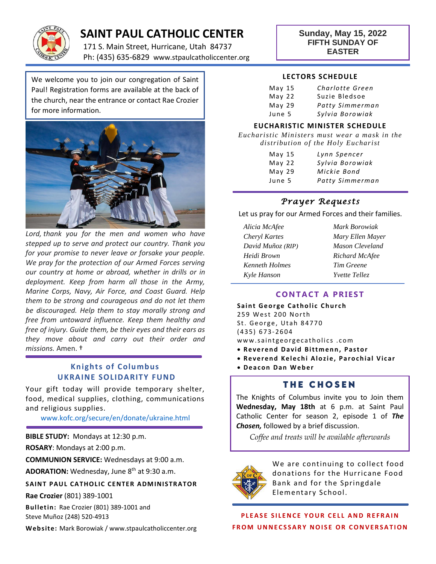

# **SAINT PAUL CATHOLIC CENTER**

171 S. Main Street, Hurricane, Utah 84737 Ph: (435) 635-6829 www.stpaulcatholiccenter.org **Sunday, May 15, 2022 FIFTH SUNDAY OF EASTER**

We welcome you to join our congregation of Saint Paul! Registration forms are available at the back of the church, near the entrance or contact Rae Crozier for more information.



*Lord, thank you for the men and women who have stepped up to serve and protect our country. Thank you for your promise to never leave or forsake your people. We pray for the protection of our Armed Forces serving our country at home or abroad, whether in drills or in deployment. Keep from harm all those in the Army, Marine Corps, Navy, Air Force, and Coast Guard. Help them to be strong and courageous and do not let them be discouraged. Help them to stay morally strong and free from untoward influence. Keep them healthy and free of injury. Guide them, be their eyes and their ears as they move about and carry out their order and missions.* Amen. †

### **Knights of Columbus UKRAINE SOLIDARITY FUND**

Your gift today will provide temporary shelter, food, medical supplies, clothing, communications and religious supplies.

[www.kofc.org/secure/en/donate/ukraine.html](http://www.kofc.org/secure/en/donate/ukraine.html)

**BIBLE STUDY:** Mondays at 12:30 p.m.

**ROSARY**: Mondays at 2:00 p.m.

**COMMUNION SERVICE:** Wednesdays at 9:00 a.m.

**ADORATION:** Wednesday, June 8th at 9:30 a.m.

#### **SAINT PAUL CATHOLIC CENTER ADMINISTRATOR**

**Rae Crozier** (801) 389-1001

**Bulletin:** Rae Crozier (801) 389-1001 and Steve Muñoz (248) 520-4913

**Web site:** Mark Borowiak / www.stpaulcatholiccenter.org

#### **LECTORS SCHEDULE**

| May <sub>15</sub> | Charlotte Green |
|-------------------|-----------------|
| May <sub>22</sub> | Suzie Bledsoe   |
| May <sub>29</sub> | Patty Simmerman |
| June 5            | Sylvia Borowiak |

#### **EUCHARISTIC MINISTER SCHEDULE**

*Eucharistic Ministers must wear a mask in the distribution of the Holy Eucharist*

| May <sub>15</sub><br>May <sub>22</sub> | Lynn Spencer<br>Sylvia Borowiak |
|----------------------------------------|---------------------------------|
| May <sub>29</sub>                      | Mickie Bond                     |
| June 5                                 | Patty Simmerman                 |

## *Prayer Requests*

Let us pray for our Armed Forces and their families.

| Alicia McAfee     | Mark Borowiak        |
|-------------------|----------------------|
| Cheryl Kartes     | Mary Ellen Mayer     |
| David Muñoz (RIP) | Mason Cleveland      |
| Heidi Brown       | Richard McAfee       |
| Kenneth Holmes    | Tim Greene           |
| Kyle Hanson       | <i>Yvette Tellez</i> |

#### **CONTACT A PRIEST**

**Saint George Catholic Church** 259 West 200 North St. George, Utah 84770 (435) 6 7 3- 2604 www.saintgeorgecatholics.com **• Reverend David Bittmenn, Pastor** 

- **Reverend Kelechi Alozie, Parochial Vicar**
- **D e a c o n D a n W e b e r**

## **THE CHOSEN**

The Knights of Columbus invite you to Join them **Wednesday, May 18th** at 6 p.m. at Saint Paul Catholic Center for season 2, episode 1 of *The Chosen,* followed by a brief discussion.

*Coffee and treats will be available afterwards*



We are continuing to collect food donations for the Hurricane Food Bank and for the Springdale Elementary School.

**PLEASE SILENCE YOUR CELL AND REFRAIN F R O M U NNE C S S A R Y N O I S E O R C O N V E R S A T I O N**